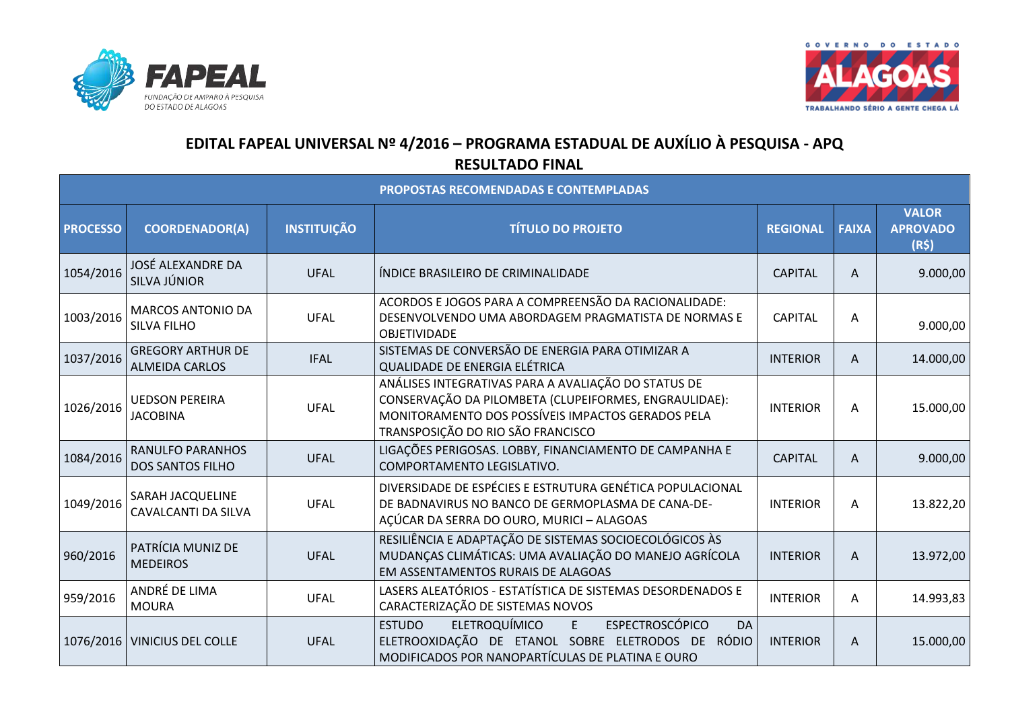



## **EDITAL FAPEAL UNIVERSAL Nº 4/2016 – PROGRAMA ESTADUAL DE AUXÍLIO À PESQUISA - APQ RESULTADO FINAL**

| PROPOSTAS RECOMENDADAS E CONTEMPLADAS |                                                    |                    |                                                                                                                                                                                                        |                 |              |                                         |  |
|---------------------------------------|----------------------------------------------------|--------------------|--------------------------------------------------------------------------------------------------------------------------------------------------------------------------------------------------------|-----------------|--------------|-----------------------------------------|--|
| <b>PROCESSO</b>                       | <b>COORDENADOR(A)</b>                              | <b>INSTITUIÇÃO</b> | <b>TÍTULO DO PROJETO</b>                                                                                                                                                                               | <b>REGIONAL</b> | <b>FAIXA</b> | <b>VALOR</b><br><b>APROVADO</b><br>(R5) |  |
| 1054/2016                             | JOSÉ ALEXANDRE DA<br>SILVA JÚNIOR                  | <b>UFAL</b>        | ÍNDICE BRASILEIRO DE CRIMINALIDADE                                                                                                                                                                     | <b>CAPITAL</b>  | A            | 9.000,00                                |  |
| 1003/2016                             | <b>MARCOS ANTONIO DA</b><br><b>SILVA FILHO</b>     | <b>UFAL</b>        | ACORDOS E JOGOS PARA A COMPREENSÃO DA RACIONALIDADE:<br>DESENVOLVENDO UMA ABORDAGEM PRAGMATISTA DE NORMAS E<br>OBJETIVIDADE                                                                            | <b>CAPITAL</b>  | A            | 9.000,00                                |  |
| 1037/2016                             | <b>GREGORY ARTHUR DE</b><br><b>ALMEIDA CARLOS</b>  | <b>IFAL</b>        | SISTEMAS DE CONVERSÃO DE ENERGIA PARA OTIMIZAR A<br>QUALIDADE DE ENERGIA ELÉTRICA                                                                                                                      | <b>INTERIOR</b> | A            | 14.000,00                               |  |
| 1026/2016                             | <b>UEDSON PEREIRA</b><br><b>JACOBINA</b>           | <b>UFAL</b>        | ANÁLISES INTEGRATIVAS PARA A AVALIAÇÃO DO STATUS DE<br>CONSERVAÇÃO DA PILOMBETA (CLUPEIFORMES, ENGRAULIDAE):<br>MONITORAMENTO DOS POSSÍVEIS IMPACTOS GERADOS PELA<br>TRANSPOSIÇÃO DO RIO SÃO FRANCISCO | <b>INTERIOR</b> | A            | 15.000,00                               |  |
| 1084/2016                             | <b>RANULFO PARANHOS</b><br><b>DOS SANTOS FILHO</b> | <b>UFAL</b>        | LIGAÇÕES PERIGOSAS. LOBBY, FINANCIAMENTO DE CAMPANHA E<br>COMPORTAMENTO LEGISLATIVO.                                                                                                                   | <b>CAPITAL</b>  | A            | 9.000,00                                |  |
| 1049/2016                             | SARAH JACQUELINE<br>CAVALCANTI DA SILVA            | <b>UFAL</b>        | DIVERSIDADE DE ESPÉCIES E ESTRUTURA GENÉTICA POPULACIONAL<br>DE BADNAVIRUS NO BANCO DE GERMOPLASMA DE CANA-DE-<br>AÇÚCAR DA SERRA DO OURO, MURICI - ALAGOAS                                            | <b>INTERIOR</b> | A            | 13.822,20                               |  |
| 960/2016                              | PATRÍCIA MUNIZ DE<br><b>MEDEIROS</b>               | <b>UFAL</b>        | RESILIÊNCIA E ADAPTAÇÃO DE SISTEMAS SOCIOECOLÓGICOS ÀS<br>MUDANÇAS CLIMÁTICAS: UMA AVALIAÇÃO DO MANEJO AGRÍCOLA<br>EM ASSENTAMENTOS RURAIS DE ALAGOAS                                                  | <b>INTERIOR</b> | A            | 13.972,00                               |  |
| 959/2016                              | ANDRÉ DE LIMA<br><b>MOURA</b>                      | <b>UFAL</b>        | LASERS ALEATÓRIOS - ESTATÍSTICA DE SISTEMAS DESORDENADOS E<br>CARACTERIZAÇÃO DE SISTEMAS NOVOS                                                                                                         | <b>INTERIOR</b> | A            | 14.993,83                               |  |
|                                       | 1076/2016   VINICIUS DEL COLLE                     | <b>UFAL</b>        | <b>ELETROQUÍMICO</b><br><b>ESPECTROSCÓPICO</b><br><b>ESTUDO</b><br>E<br>DA<br>ELETROOXIDAÇÃO DE ETANOL SOBRE ELETRODOS DE RÓDIO<br>MODIFICADOS POR NANOPARTÍCULAS DE PLATINA E OURO                    | <b>INTERIOR</b> | A            | 15.000,00                               |  |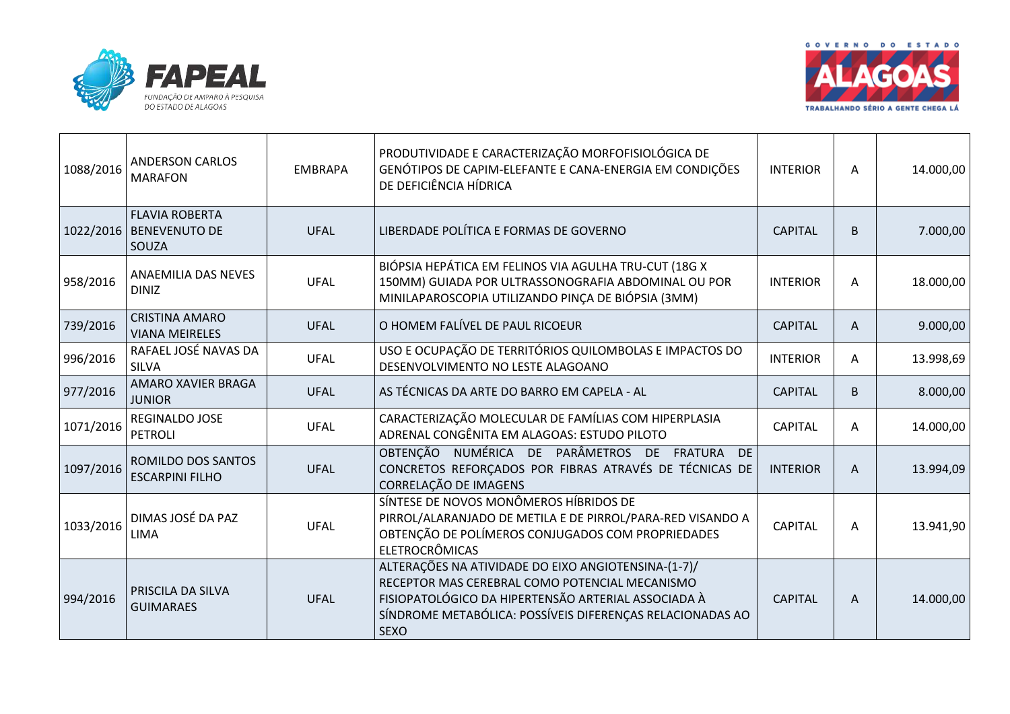



| 1088/2016 | <b>ANDERSON CARLOS</b><br><b>MARAFON</b>               | <b>EMBRAPA</b> | PRODUTIVIDADE E CARACTERIZAÇÃO MORFOFISIOLÓGICA DE<br>GENÓTIPOS DE CAPIM-ELEFANTE E CANA-ENERGIA EM CONDIÇÕES<br>DE DEFICIÊNCIA HÍDRICA                                                                                                  | <b>INTERIOR</b> | A | 14.000,00 |
|-----------|--------------------------------------------------------|----------------|------------------------------------------------------------------------------------------------------------------------------------------------------------------------------------------------------------------------------------------|-----------------|---|-----------|
| 1022/2016 | <b>FLAVIA ROBERTA</b><br><b>BENEVENUTO DE</b><br>SOUZA | <b>UFAL</b>    | LIBERDADE POLÍTICA E FORMAS DE GOVERNO                                                                                                                                                                                                   | <b>CAPITAL</b>  | B | 7.000,00  |
| 958/2016  | ANAEMILIA DAS NEVES<br><b>DINIZ</b>                    | <b>UFAL</b>    | BIÓPSIA HEPÁTICA EM FELINOS VIA AGULHA TRU-CUT (18G X<br>150MM) GUIADA POR ULTRASSONOGRAFIA ABDOMINAL OU POR<br>MINILAPAROSCOPIA UTILIZANDO PINÇA DE BIÓPSIA (3MM)                                                                       | <b>INTERIOR</b> | A | 18.000,00 |
| 739/2016  | <b>CRISTINA AMARO</b><br><b>VIANA MEIRELES</b>         | <b>UFAL</b>    | O HOMEM FALÍVEL DE PAUL RICOEUR                                                                                                                                                                                                          | <b>CAPITAL</b>  | A | 9.000,00  |
| 996/2016  | RAFAEL JOSÉ NAVAS DA<br><b>SILVA</b>                   | <b>UFAL</b>    | USO E OCUPAÇÃO DE TERRITÓRIOS QUILOMBOLAS E IMPACTOS DO<br>DESENVOLVIMENTO NO LESTE ALAGOANO                                                                                                                                             | <b>INTERIOR</b> | A | 13.998,69 |
| 977/2016  | AMARO XAVIER BRAGA<br><b>JUNIOR</b>                    | <b>UFAL</b>    | AS TÉCNICAS DA ARTE DO BARRO EM CAPELA - AL                                                                                                                                                                                              | <b>CAPITAL</b>  | B | 8.000,00  |
| 1071/2016 | REGINALDO JOSE<br><b>PETROLI</b>                       | <b>UFAL</b>    | CARACTERIZAÇÃO MOLECULAR DE FAMÍLIAS COM HIPERPLASIA<br>ADRENAL CONGÊNITA EM ALAGOAS: ESTUDO PILOTO                                                                                                                                      | <b>CAPITAL</b>  | A | 14.000,00 |
| 1097/2016 | ROMILDO DOS SANTOS<br><b>ESCARPINI FILHO</b>           | <b>UFAL</b>    | OBTENÇÃO NUMÉRICA DE PARÂMETROS DE FRATURA<br><b>DE</b><br>CONCRETOS REFORÇADOS POR FIBRAS ATRAVÉS DE TÉCNICAS DE<br>CORRELAÇÃO DE IMAGENS                                                                                               | <b>INTERIOR</b> | A | 13.994,09 |
| 1033/2016 | DIMAS JOSÉ DA PAZ<br><b>LIMA</b>                       | <b>UFAL</b>    | SÍNTESE DE NOVOS MONÔMEROS HÍBRIDOS DE<br>PIRROL/ALARANJADO DE METILA E DE PIRROL/PARA-RED VISANDO A<br>OBTENÇÃO DE POLÍMEROS CONJUGADOS COM PROPRIEDADES<br><b>ELETROCRÔMICAS</b>                                                       | <b>CAPITAL</b>  | A | 13.941,90 |
| 994/2016  | PRISCILA DA SILVA<br><b>GUIMARAES</b>                  | <b>UFAL</b>    | ALTERAÇÕES NA ATIVIDADE DO EIXO ANGIOTENSINA-(1-7)/<br>RECEPTOR MAS CEREBRAL COMO POTENCIAL MECANISMO<br>FISIOPATOLÓGICO DA HIPERTENSÃO ARTERIAL ASSOCIADA À<br>SÍNDROME METABÓLICA: POSSÍVEIS DIFERENÇAS RELACIONADAS AO<br><b>SEXO</b> | <b>CAPITAL</b>  | A | 14.000,00 |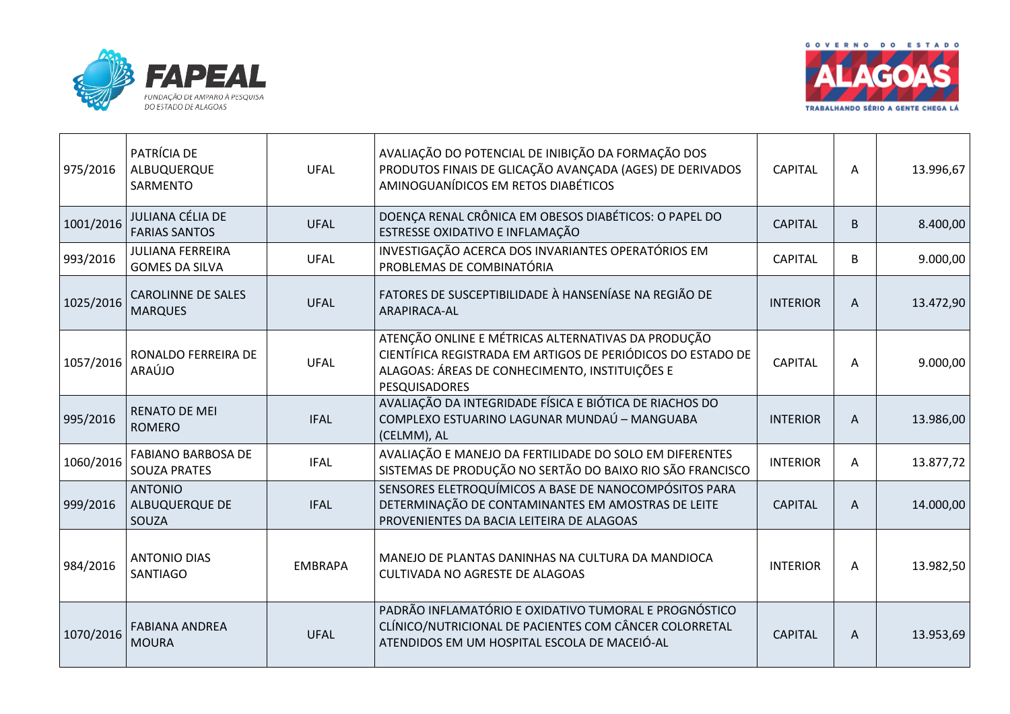



| 975/2016  | PATRÍCIA DE<br>ALBUQUERQUE<br>SARMENTO           | <b>UFAL</b>    | AVALIAÇÃO DO POTENCIAL DE INIBIÇÃO DA FORMAÇÃO DOS<br>PRODUTOS FINAIS DE GLICAÇÃO AVANÇADA (AGES) DE DERIVADOS<br>AMINOGUANÍDICOS EM RETOS DIABÉTICOS                                | <b>CAPITAL</b>  | A | 13.996,67 |
|-----------|--------------------------------------------------|----------------|--------------------------------------------------------------------------------------------------------------------------------------------------------------------------------------|-----------------|---|-----------|
| 1001/2016 | JULIANA CÉLIA DE<br><b>FARIAS SANTOS</b>         | <b>UFAL</b>    | DOENÇA RENAL CRÔNICA EM OBESOS DIABÉTICOS: O PAPEL DO<br>ESTRESSE OXIDATIVO E INFLAMAÇÃO                                                                                             | <b>CAPITAL</b>  | B | 8.400,00  |
| 993/2016  | <b>JULIANA FERREIRA</b><br><b>GOMES DA SILVA</b> | <b>UFAL</b>    | INVESTIGAÇÃO ACERCA DOS INVARIANTES OPERATÓRIOS EM<br>PROBLEMAS DE COMBINATÓRIA                                                                                                      | <b>CAPITAL</b>  | B | 9.000,00  |
| 1025/2016 | <b>CAROLINNE DE SALES</b><br><b>MARQUES</b>      | <b>UFAL</b>    | FATORES DE SUSCEPTIBILIDADE À HANSENÍASE NA REGIÃO DE<br>ARAPIRACA-AL                                                                                                                | <b>INTERIOR</b> | A | 13.472,90 |
| 1057/2016 | RONALDO FERREIRA DE<br>ARAÚJO                    | <b>UFAL</b>    | ATENÇÃO ONLINE E MÉTRICAS ALTERNATIVAS DA PRODUÇÃO<br>CIENTÍFICA REGISTRADA EM ARTIGOS DE PERIÓDICOS DO ESTADO DE<br>ALAGOAS: ÁREAS DE CONHECIMENTO, INSTITUIÇÕES E<br>PESQUISADORES | <b>CAPITAL</b>  | A | 9.000,00  |
| 995/2016  | <b>RENATO DE MEI</b><br><b>ROMERO</b>            | <b>IFAL</b>    | AVALIAÇÃO DA INTEGRIDADE FÍSICA E BIÓTICA DE RIACHOS DO<br>COMPLEXO ESTUARINO LAGUNAR MUNDAÚ - MANGUABA<br>(CELMM), AL                                                               | <b>INTERIOR</b> | A | 13.986,00 |
| 1060/2016 | <b>FABIANO BARBOSA DE</b><br><b>SOUZA PRATES</b> | <b>IFAL</b>    | AVALIAÇÃO E MANEJO DA FERTILIDADE DO SOLO EM DIFERENTES<br>SISTEMAS DE PRODUÇÃO NO SERTÃO DO BAIXO RIO SÃO FRANCISCO                                                                 | <b>INTERIOR</b> | Α | 13.877,72 |
| 999/2016  | <b>ANTONIO</b><br><b>ALBUQUERQUE DE</b><br>SOUZA | <b>IFAL</b>    | SENSORES ELETROQUÍMICOS A BASE DE NANOCOMPÓSITOS PARA<br>DETERMINAÇÃO DE CONTAMINANTES EM AMOSTRAS DE LEITE<br>PROVENIENTES DA BACIA LEITEIRA DE ALAGOAS                             | <b>CAPITAL</b>  | A | 14.000,00 |
| 984/2016  | <b>ANTONIO DIAS</b><br><b>SANTIAGO</b>           | <b>EMBRAPA</b> | MANEJO DE PLANTAS DANINHAS NA CULTURA DA MANDIOCA<br><b>CULTIVADA NO AGRESTE DE ALAGOAS</b>                                                                                          | <b>INTERIOR</b> | A | 13.982,50 |
| 1070/2016 | <b>FABIANA ANDREA</b><br><b>MOURA</b>            | <b>UFAL</b>    | PADRÃO INFLAMATÓRIO E OXIDATIVO TUMORAL E PROGNÓSTICO<br>CLÍNICO/NUTRICIONAL DE PACIENTES COM CÂNCER COLORRETAL<br>ATENDIDOS EM UM HOSPITAL ESCOLA DE MACEIÓ-AL                      | <b>CAPITAL</b>  | A | 13.953,69 |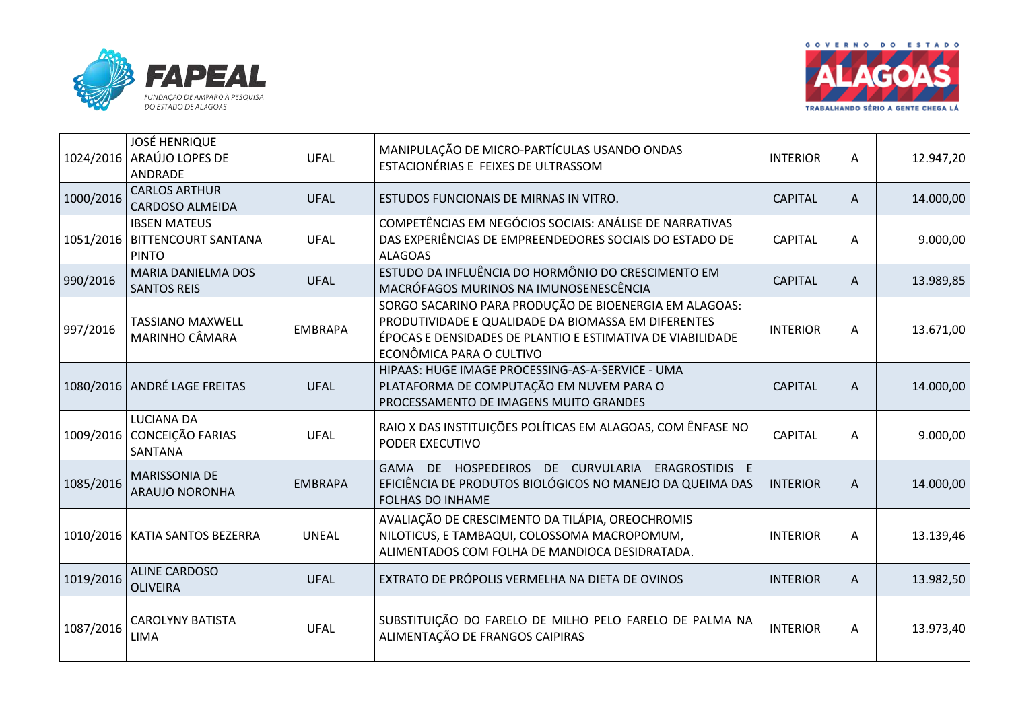



| 1024/2016 | <b>JOSÉ HENRIQUE</b><br>ARAÚJO LOPES DE<br>ANDRADE                     | <b>UFAL</b>    | MANIPULAÇÃO DE MICRO-PARTÍCULAS USANDO ONDAS<br>ESTACIONÉRIAS E FEIXES DE ULTRASSOM                                                                                                                     | <b>INTERIOR</b> | A | 12.947,20 |
|-----------|------------------------------------------------------------------------|----------------|---------------------------------------------------------------------------------------------------------------------------------------------------------------------------------------------------------|-----------------|---|-----------|
| 1000/2016 | <b>CARLOS ARTHUR</b><br>CARDOSO ALMEIDA                                | <b>UFAL</b>    | ESTUDOS FUNCIONAIS DE MIRNAS IN VITRO.                                                                                                                                                                  | <b>CAPITAL</b>  | A | 14.000,00 |
|           | <b>IBSEN MATEUS</b><br>1051/2016   BITTENCOURT SANTANA<br><b>PINTO</b> | <b>UFAL</b>    | COMPETÊNCIAS EM NEGÓCIOS SOCIAIS: ANÁLISE DE NARRATIVAS<br>DAS EXPERIÊNCIAS DE EMPREENDEDORES SOCIAIS DO ESTADO DE<br><b>ALAGOAS</b>                                                                    | <b>CAPITAL</b>  | A | 9.000,00  |
| 990/2016  | MARIA DANIELMA DOS<br><b>SANTOS REIS</b>                               | <b>UFAL</b>    | ESTUDO DA INFLUÊNCIA DO HORMÔNIO DO CRESCIMENTO EM<br>MACRÓFAGOS MURINOS NA IMUNOSENESCÊNCIA                                                                                                            | <b>CAPITAL</b>  | A | 13.989,85 |
| 997/2016  | <b>TASSIANO MAXWELL</b><br>MARINHO CÂMARA                              | <b>EMBRAPA</b> | SORGO SACARINO PARA PRODUÇÃO DE BIOENERGIA EM ALAGOAS:<br>PRODUTIVIDADE E QUALIDADE DA BIOMASSA EM DIFERENTES<br>ÉPOCAS E DENSIDADES DE PLANTIO E ESTIMATIVA DE VIABILIDADE<br>ECONÔMICA PARA O CULTIVO | <b>INTERIOR</b> | A | 13.671,00 |
|           | 1080/2016 ANDRÉ LAGE FREITAS                                           | <b>UFAL</b>    | HIPAAS: HUGE IMAGE PROCESSING-AS-A-SERVICE - UMA<br>PLATAFORMA DE COMPUTAÇÃO EM NUVEM PARA O<br>PROCESSAMENTO DE IMAGENS MUITO GRANDES                                                                  | <b>CAPITAL</b>  | A | 14.000,00 |
|           | LUCIANA DA<br>1009/2016 CONCEIÇÃO FARIAS<br>SANTANA                    | <b>UFAL</b>    | RAIO X DAS INSTITUIÇÕES POLÍTICAS EM ALAGOAS, COM ÊNFASE NO<br>PODER EXECUTIVO                                                                                                                          | <b>CAPITAL</b>  | A | 9.000,00  |
| 1085/2016 | <b>MARISSONIA DE</b><br>ARAUJO NORONHA                                 | <b>EMBRAPA</b> | GAMA DE HOSPEDEIROS DE CURVULARIA ERAGROSTIDIS E<br>EFICIÊNCIA DE PRODUTOS BIOLÓGICOS NO MANEJO DA QUEIMA DAS<br><b>FOLHAS DO INHAME</b>                                                                | <b>INTERIOR</b> | A | 14.000,00 |
|           | 1010/2016   KATIA SANTOS BEZERRA                                       | <b>UNEAL</b>   | AVALIAÇÃO DE CRESCIMENTO DA TILÁPIA, OREOCHROMIS<br>NILOTICUS, E TAMBAQUI, COLOSSOMA MACROPOMUM,<br>ALIMENTADOS COM FOLHA DE MANDIOCA DESIDRATADA.                                                      | <b>INTERIOR</b> | A | 13.139,46 |
| 1019/2016 | <b>ALINE CARDOSO</b><br><b>OLIVEIRA</b>                                | <b>UFAL</b>    | EXTRATO DE PRÓPOLIS VERMELHA NA DIETA DE OVINOS                                                                                                                                                         | <b>INTERIOR</b> | A | 13.982,50 |
| 1087/2016 | <b>CAROLYNY BATISTA</b><br><b>LIMA</b>                                 | <b>UFAL</b>    | SUBSTITUIÇÃO DO FARELO DE MILHO PELO FARELO DE PALMA NA<br>ALIMENTAÇÃO DE FRANGOS CAIPIRAS                                                                                                              | <b>INTERIOR</b> | A | 13.973,40 |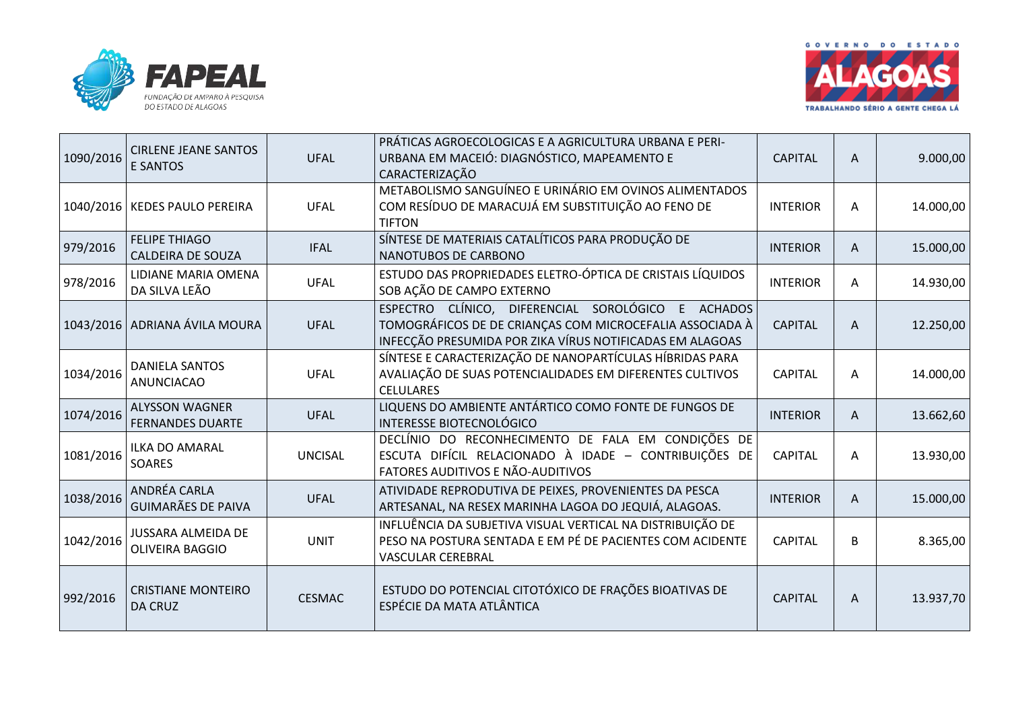



| 1090/2016 | <b>CIRLENE JEANE SANTOS</b><br><b>E SANTOS</b>      | <b>UFAL</b>    | PRÁTICAS AGROECOLOGICAS E A AGRICULTURA URBANA E PERI-<br>URBANA EM MACEIÓ: DIAGNÓSTICO, MAPEAMENTO E<br>CARACTERIZAÇÃO                                                    | <b>CAPITAL</b>  | A | 9.000,00  |
|-----------|-----------------------------------------------------|----------------|----------------------------------------------------------------------------------------------------------------------------------------------------------------------------|-----------------|---|-----------|
|           | 1040/2016   KEDES PAULO PEREIRA                     | <b>UFAL</b>    | METABOLISMO SANGUÍNEO E URINÁRIO EM OVINOS ALIMENTADOS<br>COM RESÍDUO DE MARACUJÁ EM SUBSTITUIÇÃO AO FENO DE<br><b>TIFTON</b>                                              | <b>INTERIOR</b> | A | 14.000,00 |
| 979/2016  | <b>FELIPE THIAGO</b><br><b>CALDEIRA DE SOUZA</b>    | <b>IFAL</b>    | SÍNTESE DE MATERIAIS CATALÍTICOS PARA PRODUÇÃO DE<br>NANOTUBOS DE CARBONO                                                                                                  | <b>INTERIOR</b> | A | 15.000,00 |
| 978/2016  | LIDIANE MARIA OMENA<br>DA SILVA LEÃO                | <b>UFAL</b>    | ESTUDO DAS PROPRIEDADES ELETRO-ÓPTICA DE CRISTAIS LÍQUIDOS<br>SOB AÇÃO DE CAMPO EXTERNO                                                                                    | <b>INTERIOR</b> | Α | 14.930,00 |
|           | 1043/2016   ADRIANA ÁVILA MOURA                     | <b>UFAL</b>    | ESPECTRO CLÍNICO, DIFERENCIAL SOROLÓGICO E ACHADOS<br>TOMOGRÁFICOS DE DE CRIANÇAS COM MICROCEFALIA ASSOCIADA À<br>INFECÇÃO PRESUMIDA POR ZIKA VÍRUS NOTIFICADAS EM ALAGOAS | <b>CAPITAL</b>  | A | 12.250,00 |
| 1034/2016 | <b>DANIELA SANTOS</b><br><b>ANUNCIACAO</b>          | <b>UFAL</b>    | SÍNTESE E CARACTERIZAÇÃO DE NANOPARTÍCULAS HÍBRIDAS PARA<br>AVALIAÇÃO DE SUAS POTENCIALIDADES EM DIFERENTES CULTIVOS<br><b>CELULARES</b>                                   | <b>CAPITAL</b>  | A | 14.000,00 |
| 1074/2016 | <b>ALYSSON WAGNER</b><br><b>FERNANDES DUARTE</b>    | <b>UFAL</b>    | LIQUENS DO AMBIENTE ANTÁRTICO COMO FONTE DE FUNGOS DE<br><b>INTERESSE BIOTECNOLÓGICO</b>                                                                                   | <b>INTERIOR</b> | A | 13.662,60 |
| 1081/2016 | <b>ILKA DO AMARAL</b><br>SOARES                     | <b>UNCISAL</b> | DECLÍNIO DO RECONHECIMENTO DE FALA EM CONDIÇÕES DE<br>ESCUTA DIFÍCIL RELACIONADO À IDADE - CONTRIBUIÇÕES DE<br>FATORES AUDITIVOS E NÃO-AUDITIVOS                           | <b>CAPITAL</b>  | Α | 13.930,00 |
| 1038/2016 | ANDRÉA CARLA<br><b>GUIMARÃES DE PAIVA</b>           | <b>UFAL</b>    | ATIVIDADE REPRODUTIVA DE PEIXES, PROVENIENTES DA PESCA<br>ARTESANAL, NA RESEX MARINHA LAGOA DO JEQUIÁ, ALAGOAS.                                                            | <b>INTERIOR</b> | Α | 15.000,00 |
| 1042/2016 | <b>JUSSARA ALMEIDA DE</b><br><b>OLIVEIRA BAGGIO</b> | <b>UNIT</b>    | INFLUÊNCIA DA SUBJETIVA VISUAL VERTICAL NA DISTRIBUIÇÃO DE<br>PESO NA POSTURA SENTADA E EM PÉ DE PACIENTES COM ACIDENTE<br><b>VASCULAR CEREBRAL</b>                        | <b>CAPITAL</b>  | B | 8.365,00  |
| 992/2016  | <b>CRISTIANE MONTEIRO</b><br><b>DA CRUZ</b>         | <b>CESMAC</b>  | ESTUDO DO POTENCIAL CITOTÓXICO DE FRAÇÕES BIOATIVAS DE<br>ESPÉCIE DA MATA ATLÂNTICA                                                                                        | <b>CAPITAL</b>  | A | 13.937,70 |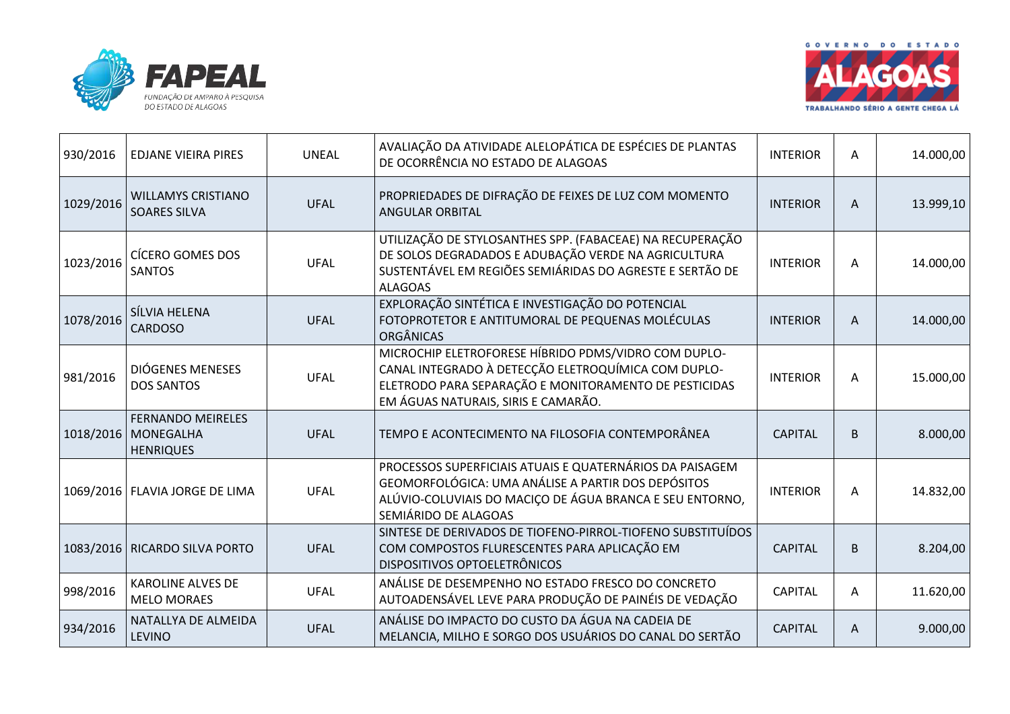



| 930/2016  | <b>EDJANE VIEIRA PIRES</b>                                          | <b>UNEAL</b> | AVALIAÇÃO DA ATIVIDADE ALELOPÁTICA DE ESPÉCIES DE PLANTAS<br>DE OCORRÊNCIA NO ESTADO DE ALAGOAS                                                                                                             | <b>INTERIOR</b> | Α                         | 14.000,00 |
|-----------|---------------------------------------------------------------------|--------------|-------------------------------------------------------------------------------------------------------------------------------------------------------------------------------------------------------------|-----------------|---------------------------|-----------|
| 1029/2016 | <b>WILLAMYS CRISTIANO</b><br><b>SOARES SILVA</b>                    | <b>UFAL</b>  | PROPRIEDADES DE DIFRAÇÃO DE FEIXES DE LUZ COM MOMENTO<br><b>ANGULAR ORBITAL</b>                                                                                                                             | <b>INTERIOR</b> | A                         | 13.999,10 |
| 1023/2016 | <b>CÍCERO GOMES DOS</b><br><b>SANTOS</b>                            | <b>UFAL</b>  | UTILIZAÇÃO DE STYLOSANTHES SPP. (FABACEAE) NA RECUPERAÇÃO<br>DE SOLOS DEGRADADOS E ADUBAÇÃO VERDE NA AGRICULTURA<br>SUSTENTÁVEL EM REGIÕES SEMIÁRIDAS DO AGRESTE E SERTÃO DE<br><b>ALAGOAS</b>              | <b>INTERIOR</b> | A                         | 14.000,00 |
| 1078/2016 | SÍLVIA HELENA<br><b>CARDOSO</b>                                     | <b>UFAL</b>  | EXPLORAÇÃO SINTÉTICA E INVESTIGAÇÃO DO POTENCIAL<br>FOTOPROTETOR E ANTITUMORAL DE PEQUENAS MOLÉCULAS<br><b>ORGÂNICAS</b>                                                                                    | <b>INTERIOR</b> | A                         | 14.000,00 |
| 981/2016  | <b>DIÓGENES MENESES</b><br><b>DOS SANTOS</b>                        | <b>UFAL</b>  | MICROCHIP ELETROFORESE HÍBRIDO PDMS/VIDRO COM DUPLO-<br>CANAL INTEGRADO À DETECÇÃO ELETROQUÍMICA COM DUPLO-<br>ELETRODO PARA SEPARAÇÃO E MONITORAMENTO DE PESTICIDAS<br>EM ÁGUAS NATURAIS, SIRIS E CAMARÃO. | <b>INTERIOR</b> | A                         | 15.000,00 |
|           | <b>FERNANDO MEIRELES</b><br>1018/2016 MONEGALHA<br><b>HENRIQUES</b> | <b>UFAL</b>  | TEMPO E ACONTECIMENTO NA FILOSOFIA CONTEMPORÂNEA                                                                                                                                                            | <b>CAPITAL</b>  | B                         | 8.000,00  |
|           | 1069/2016   FLAVIA JORGE DE LIMA                                    | <b>UFAL</b>  | PROCESSOS SUPERFICIAIS ATUAIS E QUATERNÁRIOS DA PAISAGEM<br>GEOMORFOLÓGICA: UMA ANÁLISE A PARTIR DOS DEPÓSITOS<br>ALÚVIO-COLUVIAIS DO MACIÇO DE ÁGUA BRANCA E SEU ENTORNO,<br>SEMIÁRIDO DE ALAGOAS          | <b>INTERIOR</b> | Α                         | 14.832,00 |
|           | 1083/2016   RICARDO SILVA PORTO                                     | <b>UFAL</b>  | SINTESE DE DERIVADOS DE TIOFENO-PIRROL-TIOFENO SUBSTITUÍDOS<br>COM COMPOSTOS FLURESCENTES PARA APLICAÇÃO EM<br>DISPOSITIVOS OPTOELETRÔNICOS                                                                 | <b>CAPITAL</b>  | $\sf B$                   | 8.204,00  |
| 998/2016  | <b>KAROLINE ALVES DE</b><br><b>MELO MORAES</b>                      | <b>UFAL</b>  | ANÁLISE DE DESEMPENHO NO ESTADO FRESCO DO CONCRETO<br>AUTOADENSÁVEL LEVE PARA PRODUÇÃO DE PAINÉIS DE VEDAÇÃO                                                                                                | <b>CAPITAL</b>  | Α                         | 11.620,00 |
| 934/2016  | NATALLYA DE ALMEIDA<br><b>LEVINO</b>                                | <b>UFAL</b>  | ANÁLISE DO IMPACTO DO CUSTO DA ÁGUA NA CADEIA DE<br>MELANCIA, MILHO E SORGO DOS USUÁRIOS DO CANAL DO SERTÃO                                                                                                 | <b>CAPITAL</b>  | $\boldsymbol{\mathsf{A}}$ | 9.000,00  |